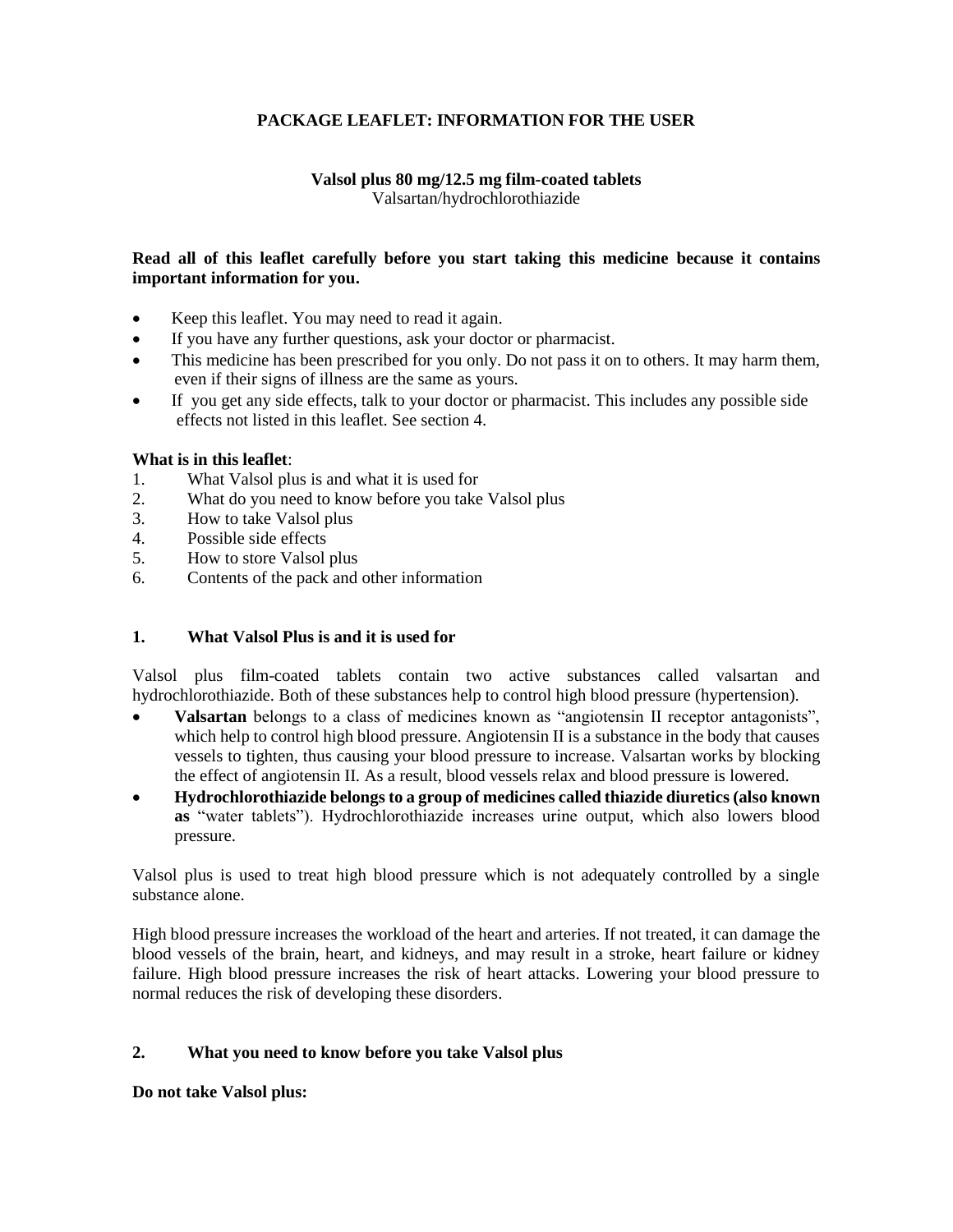# **PACKAGE LEAFLET: INFORMATION FOR THE USER**

## **Valsol plus 80 mg/12.5 mg film-coated tablets** Valsartan/hydrochlorothiazide

## **Read all of this leaflet carefully before you start taking this medicine because it contains important information for you.**

- Keep this leaflet. You may need to read it again.
- If you have any further questions, ask your doctor or pharmacist.
- This medicine has been prescribed for you only. Do not pass it on to others. It may harm them, even if their signs of illness are the same as yours.
- If you get any side effects, talk to your doctor or pharmacist. This includes any possible side effects not listed in this leaflet. See section 4.

### **What is in this leaflet**:

- 1. What Valsol plus is and what it is used for
- 2. What do you need to know before you take Valsol plus
- 3. How to take Valsol plus
- 4. Possible side effects
- 5. How to store Valsol plus
- 6. Contents of the pack and other information

### **1. What Valsol Plus is and it is used for**

Valsol plus film-coated tablets contain two active substances called valsartan and hydrochlorothiazide. Both of these substances help to control high blood pressure (hypertension).

- **Valsartan** belongs to a class of medicines known as "angiotensin II receptor antagonists", which help to control high blood pressure. Angiotensin II is a substance in the body that causes vessels to tighten, thus causing your blood pressure to increase. Valsartan works by blocking the effect of angiotensin II. As a result, blood vessels relax and blood pressure is lowered.
- **Hydrochlorothiazide belongs to a group of medicines called thiazide diuretics (also known as** "water tablets"). Hydrochlorothiazide increases urine output, which also lowers blood pressure.

Valsol plus is used to treat high blood pressure which is not adequately controlled by a single substance alone.

High blood pressure increases the workload of the heart and arteries. If not treated, it can damage the blood vessels of the brain, heart, and kidneys, and may result in a stroke, heart failure or kidney failure. High blood pressure increases the risk of heart attacks. Lowering your blood pressure to normal reduces the risk of developing these disorders.

### **2. What you need to know before you take Valsol plus**

**Do not take Valsol plus:**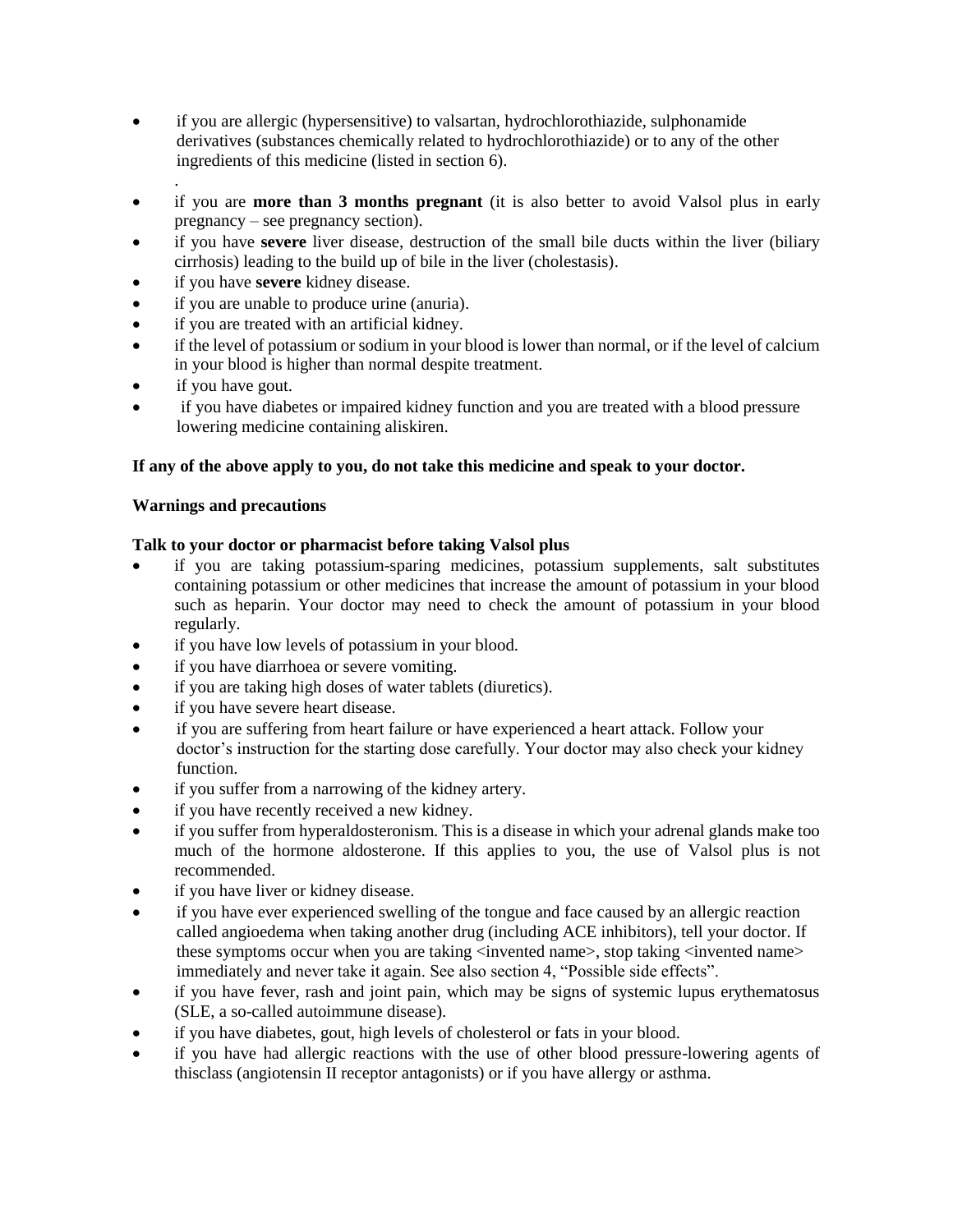- if you are allergic (hypersensitive) to valsartan, hydrochlorothiazide, sulphonamide derivatives (substances chemically related to hydrochlorothiazide) or to any of the other ingredients of this medicine (listed in section 6).
- . if you are **more than 3 months pregnant** (it is also better to avoid Valsol plus in early pregnancy – see pregnancy section).
- if you have **severe** liver disease, destruction of the small bile ducts within the liver (biliary cirrhosis) leading to the build up of bile in the liver (cholestasis).
- if you have **severe** kidney disease.
- if you are unable to produce urine (anuria).
- if you are treated with an artificial kidney.
- if the level of potassium or sodium in your blood is lower than normal, or if the level of calcium in your blood is higher than normal despite treatment.
- if you have gout.
- if you have diabetes or impaired kidney function and you are treated with a blood pressure lowering medicine containing aliskiren.

# **If any of the above apply to you, do not take this medicine and speak to your doctor.**

## **Warnings and precautions**

## **Talk to your doctor or pharmacist before taking Valsol plus**

- if you are taking potassium-sparing medicines, potassium supplements, salt substitutes containing potassium or other medicines that increase the amount of potassium in your blood such as heparin. Your doctor may need to check the amount of potassium in your blood regularly.
- if you have low levels of potassium in your blood.
- if you have diarrhoea or severe vomiting.
- if you are taking high doses of water tablets (diuretics).
- if you have severe heart disease.
- if you are suffering from heart failure or have experienced a heart attack. Follow your doctor's instruction for the starting dose carefully. Your doctor may also check your kidney function.
- if you suffer from a narrowing of the kidney artery.
- if you have recently received a new kidney.
- if you suffer from hyperaldosteronism. This is a disease in which your adrenal glands make too much of the hormone aldosterone. If this applies to you, the use of Valsol plus is not recommended.
- if you have liver or kidney disease.
- if you have ever experienced swelling of the tongue and face caused by an allergic reaction called angioedema when taking another drug (including ACE inhibitors), tell your doctor. If these symptoms occur when you are taking <invented name>, stop taking <invented name> immediately and never take it again. See also section 4, "Possible side effects".
- if you have fever, rash and joint pain, which may be signs of systemic lupus erythematosus (SLE, a so-called autoimmune disease).
- if you have diabetes, gout, high levels of cholesterol or fats in your blood.
- if you have had allergic reactions with the use of other blood pressure-lowering agents of thisclass (angiotensin II receptor antagonists) or if you have allergy or asthma.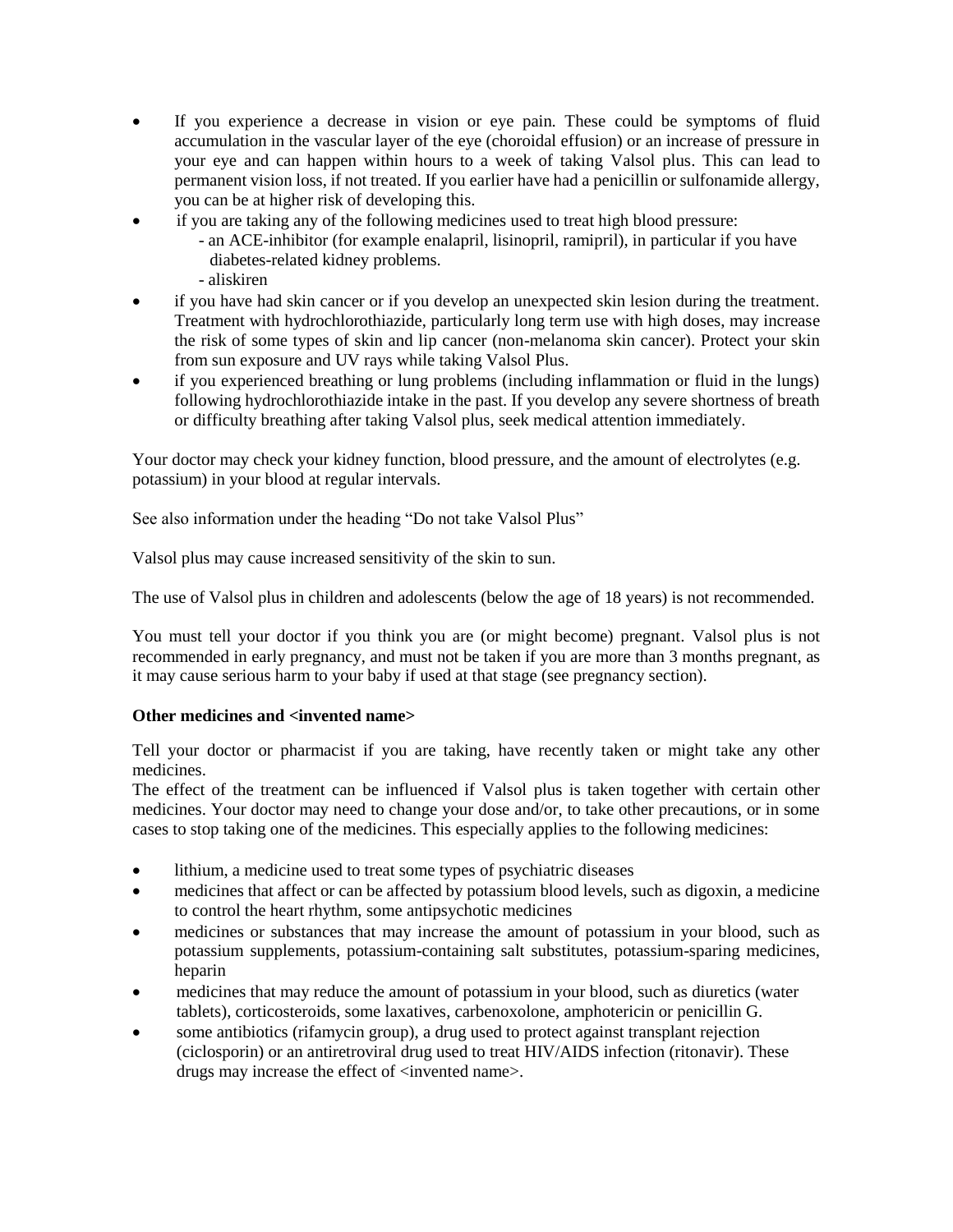- If you experience a decrease in vision or eye pain. These could be symptoms of fluid accumulation in the vascular layer of the eye (choroidal effusion) or an increase of pressure in your eye and can happen within hours to a week of taking Valsol plus. This can lead to permanent vision loss, if not treated. If you earlier have had a penicillin or sulfonamide allergy, you can be at higher risk of developing this.
- if you are taking any of the following medicines used to treat high blood pressure:
	- an ACE-inhibitor (for example enalapril, lisinopril, ramipril), in particular if you have diabetes-related kidney problems.
	- aliskiren
- if you have had skin cancer or if you develop an unexpected skin lesion during the treatment. Treatment with hydrochlorothiazide, particularly long term use with high doses, may increase the risk of some types of skin and lip cancer (non-melanoma skin cancer). Protect your skin from sun exposure and UV rays while taking Valsol Plus.
- if you experienced breathing or lung problems (including inflammation or fluid in the lungs) following hydrochlorothiazide intake in the past. If you develop any severe shortness of breath or difficulty breathing after taking Valsol plus, seek medical attention immediately.

Your doctor may check your kidney function, blood pressure, and the amount of electrolytes (e.g. potassium) in your blood at regular intervals.

See also information under the heading "Do not take Valsol Plus"

Valsol plus may cause increased sensitivity of the skin to sun.

The use of Valsol plus in children and adolescents (below the age of 18 years) is not recommended.

You must tell your doctor if you think you are (or might become) pregnant. Valsol plus is not recommended in early pregnancy, and must not be taken if you are more than 3 months pregnant, as it may cause serious harm to your baby if used at that stage (see pregnancy section).

### **Other medicines and <invented name>**

Tell your doctor or pharmacist if you are taking, have recently taken or might take any other medicines.

The effect of the treatment can be influenced if Valsol plus is taken together with certain other medicines. Your doctor may need to change your dose and/or, to take other precautions, or in some cases to stop taking one of the medicines. This especially applies to the following medicines:

- lithium, a medicine used to treat some types of psychiatric diseases
- medicines that affect or can be affected by potassium blood levels, such as digoxin, a medicine to control the heart rhythm, some antipsychotic medicines
- medicines or substances that may increase the amount of potassium in your blood, such as potassium supplements, potassium-containing salt substitutes, potassium-sparing medicines, heparin
- medicines that may reduce the amount of potassium in your blood, such as diuretics (water tablets), corticosteroids, some laxatives, carbenoxolone, amphotericin or penicillin G.
- some antibiotics (rifamycin group), a drug used to protect against transplant rejection (ciclosporin) or an antiretroviral drug used to treat HIV/AIDS infection (ritonavir). These drugs may increase the effect of  $\langle$  invented name $\rangle$ .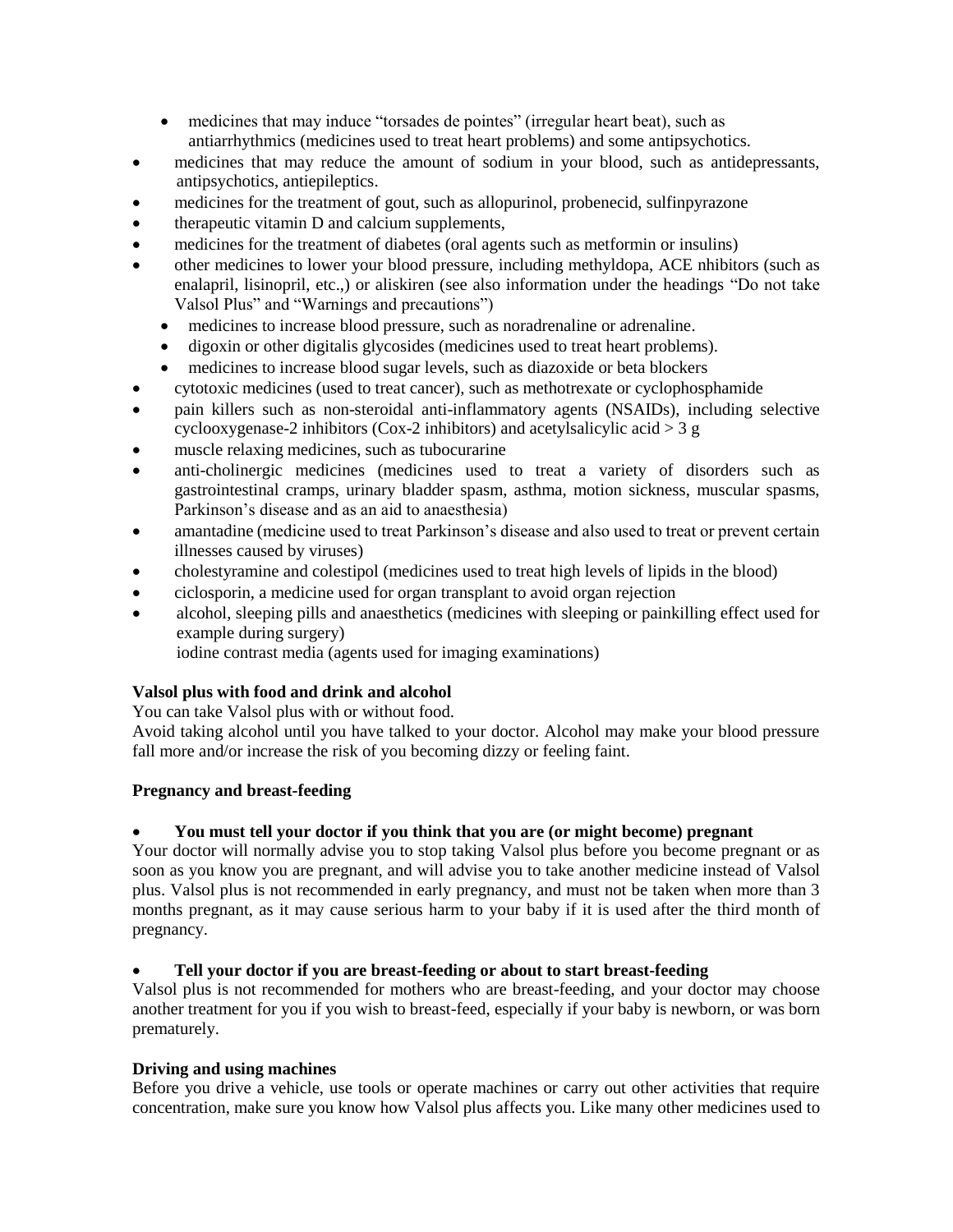- medicines that may induce "torsades de pointes" (irregular heart beat), such as antiarrhythmics (medicines used to treat heart problems) and some antipsychotics.
- medicines that may reduce the amount of sodium in your blood, such as antidepressants, antipsychotics, antiepileptics.
- medicines for the treatment of gout, such as allopurinol, probenecid, sulfinpyrazone
- therapeutic vitamin D and calcium supplements,
- medicines for the treatment of diabetes (oral agents such as metformin or insulins)
- other medicines to lower your blood pressure, including methyldopa, ACE nhibitors (such as enalapril, lisinopril, etc.,) or aliskiren (see also information under the headings "Do not take Valsol Plus" and "Warnings and precautions")
	- medicines to increase blood pressure, such as noradrenaline or adrenaline.
	- digoxin or other digitalis glycosides (medicines used to treat heart problems).
	- medicines to increase blood sugar levels, such as diazoxide or beta blockers
- cytotoxic medicines (used to treat cancer), such as methotrexate or cyclophosphamide
- pain killers such as non-steroidal anti-inflammatory agents (NSAIDs), including selective cyclooxygenase-2 inhibitors (Cox-2 inhibitors) and acetylsalicylic acid  $>$  3 g
- muscle relaxing medicines, such as tubocurarine
- anti-cholinergic medicines (medicines used to treat a variety of disorders such as gastrointestinal cramps, urinary bladder spasm, asthma, motion sickness, muscular spasms, Parkinson's disease and as an aid to anaesthesia)
- amantadine (medicine used to treat Parkinson's disease and also used to treat or prevent certain illnesses caused by viruses)
- cholestyramine and colestipol (medicines used to treat high levels of lipids in the blood)
- ciclosporin, a medicine used for organ transplant to avoid organ rejection
- alcohol, sleeping pills and anaesthetics (medicines with sleeping or painkilling effect used for example during surgery)

iodine contrast media (agents used for imaging examinations)

# **Valsol plus with food and drink and alcohol**

You can take Valsol plus with or without food.

Avoid taking alcohol until you have talked to your doctor. Alcohol may make your blood pressure fall more and/or increase the risk of you becoming dizzy or feeling faint.

### **Pregnancy and breast-feeding**

# **You must tell your doctor if you think that you are (or might become) pregnant**

Your doctor will normally advise you to stop taking Valsol plus before you become pregnant or as soon as you know you are pregnant, and will advise you to take another medicine instead of Valsol plus. Valsol plus is not recommended in early pregnancy, and must not be taken when more than 3 months pregnant, as it may cause serious harm to your baby if it is used after the third month of pregnancy.

# **Tell your doctor if you are breast-feeding or about to start breast-feeding**

Valsol plus is not recommended for mothers who are breast-feeding, and your doctor may choose another treatment for you if you wish to breast-feed, especially if your baby is newborn, or was born prematurely.

### **Driving and using machines**

Before you drive a vehicle, use tools or operate machines or carry out other activities that require concentration, make sure you know how Valsol plus affects you. Like many other medicines used to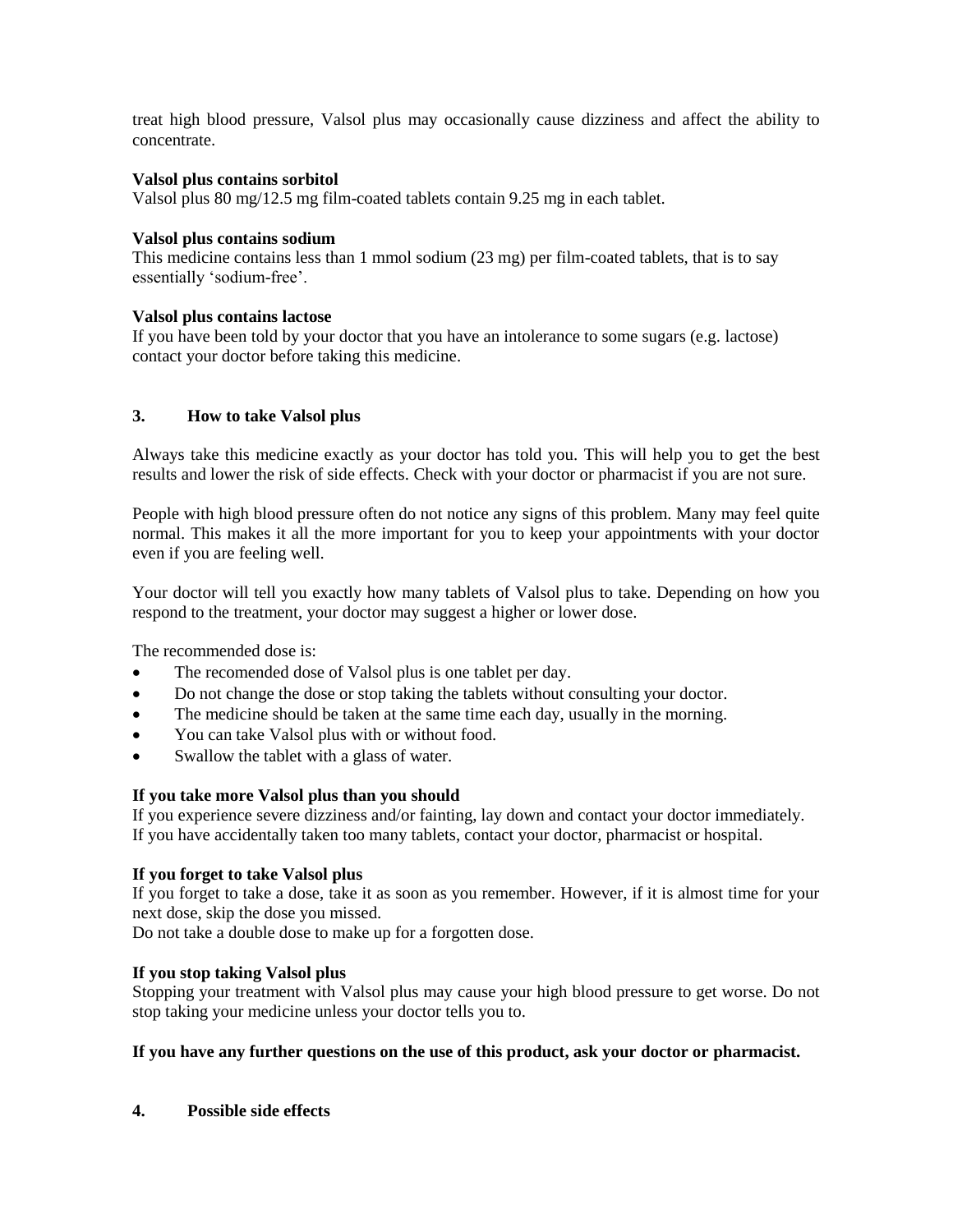treat high blood pressure, Valsol plus may occasionally cause dizziness and affect the ability to concentrate.

## **Valsol plus contains sorbitol**

Valsol plus 80 mg/12.5 mg film-coated tablets contain 9.25 mg in each tablet.

### **Valsol plus contains sodium**

This medicine contains less than 1 mmol sodium (23 mg) per film-coated tablets, that is to say essentially 'sodium-free'.

## **Valsol plus contains lactose**

If you have been told by your doctor that you have an intolerance to some sugars (e.g. lactose) contact your doctor before taking this medicine.

## **3. How to take Valsol plus**

Always take this medicine exactly as your doctor has told you. This will help you to get the best results and lower the risk of side effects. Check with your doctor or pharmacist if you are not sure.

People with high blood pressure often do not notice any signs of this problem. Many may feel quite normal. This makes it all the more important for you to keep your appointments with your doctor even if you are feeling well.

Your doctor will tell you exactly how many tablets of Valsol plus to take. Depending on how you respond to the treatment, your doctor may suggest a higher or lower dose.

The recommended dose is:

- The recomended dose of Valsol plus is one tablet per day.
- Do not change the dose or stop taking the tablets without consulting your doctor.
- The medicine should be taken at the same time each day, usually in the morning.
- You can take Valsol plus with or without food.
- Swallow the tablet with a glass of water.

### **If you take more Valsol plus than you should**

If you experience severe dizziness and/or fainting, lay down and contact your doctor immediately. If you have accidentally taken too many tablets, contact your doctor, pharmacist or hospital.

### **If you forget to take Valsol plus**

If you forget to take a dose, take it as soon as you remember. However, if it is almost time for your next dose, skip the dose you missed.

Do not take a double dose to make up for a forgotten dose.

### **If you stop taking Valsol plus**

Stopping your treatment with Valsol plus may cause your high blood pressure to get worse. Do not stop taking your medicine unless your doctor tells you to.

## **If you have any further questions on the use of this product, ask your doctor or pharmacist.**

**4. Possible side effects**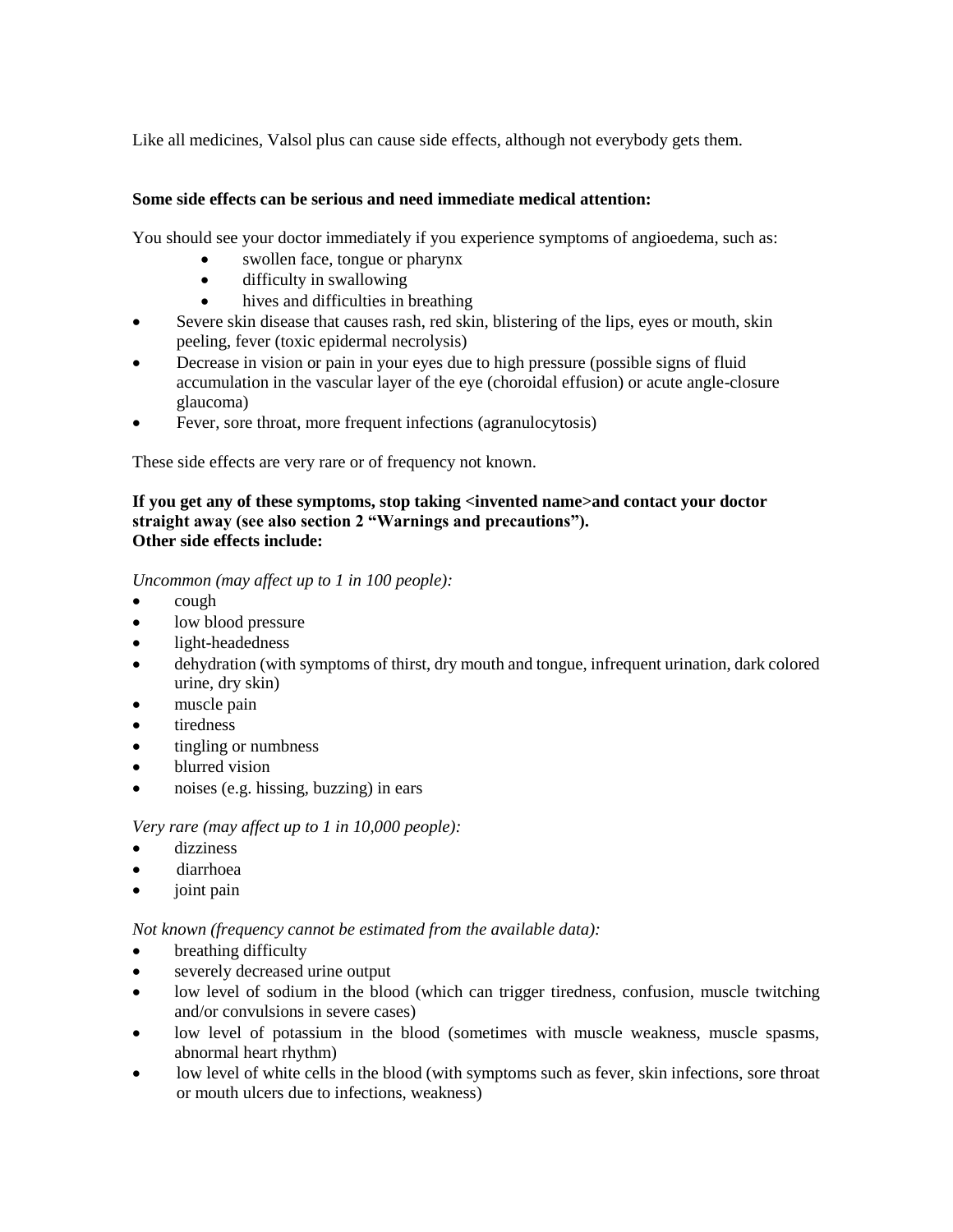Like all medicines, Valsol plus can cause side effects, although not everybody gets them.

## **Some side effects can be serious and need immediate medical attention:**

You should see your doctor immediately if you experience symptoms of angioedema, such as:

- swollen face, tongue or pharynx
- difficulty in swallowing
- hives and difficulties in breathing
- Severe skin disease that causes rash, red skin, blistering of the lips, eyes or mouth, skin peeling, fever (toxic epidermal necrolysis)
- Decrease in vision or pain in your eyes due to high pressure (possible signs of fluid accumulation in the vascular layer of the eye (choroidal effusion) or acute angle-closure glaucoma)
- Fever, sore throat, more frequent infections (agranulocytosis)

These side effects are very rare or of frequency not known.

### **If you get any of these symptoms, stop taking <invented name>and contact your doctor straight away (see also section 2 "Warnings and precautions"). Other side effects include:**

## *Uncommon (may affect up to 1 in 100 people):*

- cough
- low blood pressure
- light-headedness
- dehydration (with symptoms of thirst, dry mouth and tongue, infrequent urination, dark colored urine, dry skin)
- muscle pain
- tiredness
- tingling or numbness
- blurred vision
- noises (e.g. hissing, buzzing) in ears

*Very rare (may affect up to 1 in 10,000 people):*

- dizziness
- diarrhoea
- joint pain

*Not known (frequency cannot be estimated from the available data):*

- breathing difficulty
- severely decreased urine output
- low level of sodium in the blood (which can trigger tiredness, confusion, muscle twitching and/or convulsions in severe cases)
- low level of potassium in the blood (sometimes with muscle weakness, muscle spasms, abnormal heart rhythm)
- low level of white cells in the blood (with symptoms such as fever, skin infections, sore throat or mouth ulcers due to infections, weakness)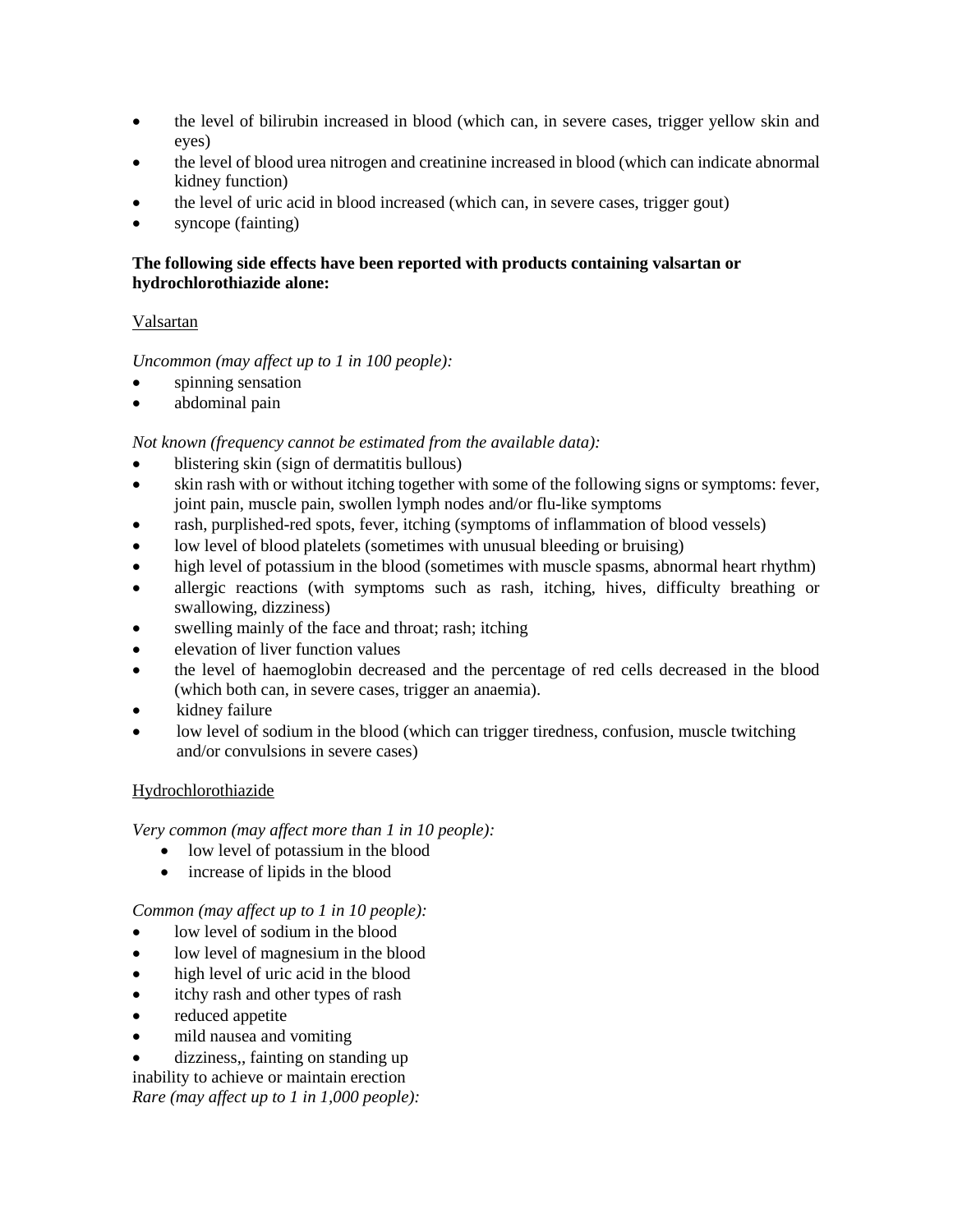- the level of bilirubin increased in blood (which can, in severe cases, trigger yellow skin and eyes)
- the level of blood urea nitrogen and creatinine increased in blood (which can indicate abnormal kidney function)
- the level of uric acid in blood increased (which can, in severe cases, trigger gout)
- syncope (fainting)

# **The following side effects have been reported with products containing valsartan or hydrochlorothiazide alone:**

# Valsartan

# *Uncommon (may affect up to 1 in 100 people):*

- spinning sensation
- abdominal pain

# *Not known (frequency cannot be estimated from the available data):*

- blistering skin (sign of dermatitis bullous)
- skin rash with or without itching together with some of the following signs or symptoms: fever, joint pain, muscle pain, swollen lymph nodes and/or flu-like symptoms
- rash, purplished-red spots, fever, itching (symptoms of inflammation of blood vessels)
- low level of blood platelets (sometimes with unusual bleeding or bruising)
- high level of potassium in the blood (sometimes with muscle spasms, abnormal heart rhythm)
- allergic reactions (with symptoms such as rash, itching, hives, difficulty breathing or swallowing, dizziness)
- swelling mainly of the face and throat; rash; itching
- elevation of liver function values
- the level of haemoglobin decreased and the percentage of red cells decreased in the blood (which both can, in severe cases, trigger an anaemia).
- kidney failure
- low level of sodium in the blood (which can trigger tiredness, confusion, muscle twitching and/or convulsions in severe cases)

# Hydrochlorothiazide

*Very common (may affect more than 1 in 10 people):*

- low level of potassium in the blood
- increase of lipids in the blood

# *Common (may affect up to 1 in 10 people):*

- low level of sodium in the blood
- low level of magnesium in the blood
- high level of uric acid in the blood
- itchy rash and other types of rash
- reduced appetite
- mild nausea and vomiting

dizziness,, fainting on standing up

inability to achieve or maintain erection *Rare (may affect up to 1 in 1,000 people):*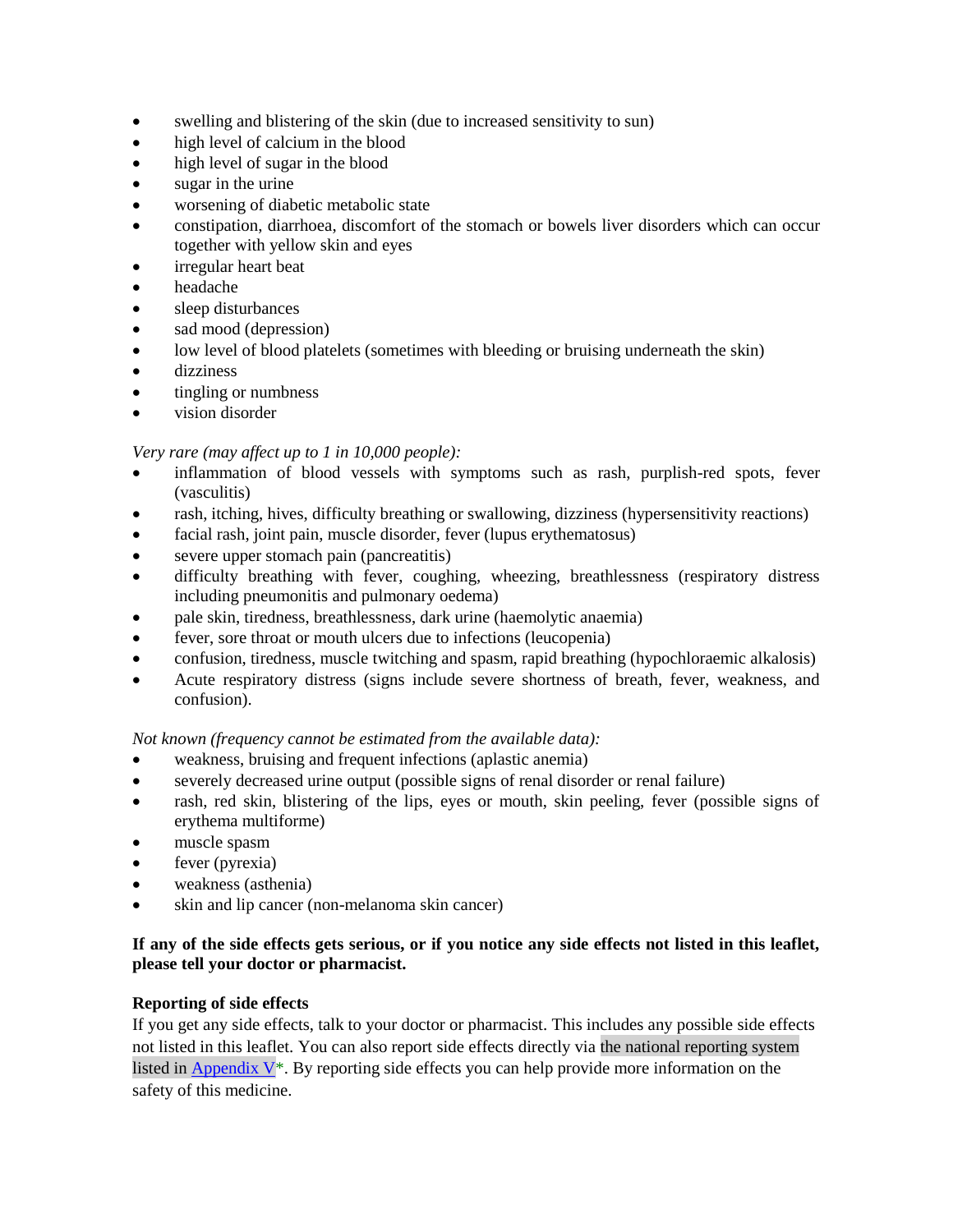- swelling and blistering of the skin (due to increased sensitivity to sun)
- high level of calcium in the blood
- high level of sugar in the blood
- sugar in the urine
- worsening of diabetic metabolic state
- constipation, diarrhoea, discomfort of the stomach or bowels liver disorders which can occur together with yellow skin and eyes
- irregular heart beat
- headache
- sleep disturbances
- sad mood (depression)
- low level of blood platelets (sometimes with bleeding or bruising underneath the skin)
- dizziness
- tingling or numbness
- vision disorder

# *Very rare (may affect up to 1 in 10,000 people):*

- inflammation of blood vessels with symptoms such as rash, purplish-red spots, fever (vasculitis)
- rash, itching, hives, difficulty breathing or swallowing, dizziness (hypersensitivity reactions)
- facial rash, joint pain, muscle disorder, fever (lupus erythematosus)
- severe upper stomach pain (pancreatitis)
- difficulty breathing with fever, coughing, wheezing, breathlessness (respiratory distress including pneumonitis and pulmonary oedema)
- pale skin, tiredness, breathlessness, dark urine (haemolytic anaemia)
- fever, sore throat or mouth ulcers due to infections (leucopenia)
- confusion, tiredness, muscle twitching and spasm, rapid breathing (hypochloraemic alkalosis)
- Acute respiratory distress (signs include severe shortness of breath, fever, weakness, and confusion).

*Not known (frequency cannot be estimated from the available data):*

- weakness, bruising and frequent infections (aplastic anemia)
- severely decreased urine output (possible signs of renal disorder or renal failure)
- rash, red skin, blistering of the lips, eyes or mouth, skin peeling, fever (possible signs of erythema multiforme)
- muscle spasm
- fever (pyrexia)
- weakness (asthenia)
- skin and lip cancer (non-melanoma skin cancer)

## **If any of the side effects gets serious, or if you notice any side effects not listed in this leaflet, please tell your doctor or pharmacist.**

# **Reporting of side effects**

If you get any side effects, talk to your doctor or pharmacist. This includes any possible side effects not listed in this leaflet. You can also report side effects directly via the national reporting system listed in Appendix  $V^*$ . By reporting side effects you can help provide more information on the safety of this medicine.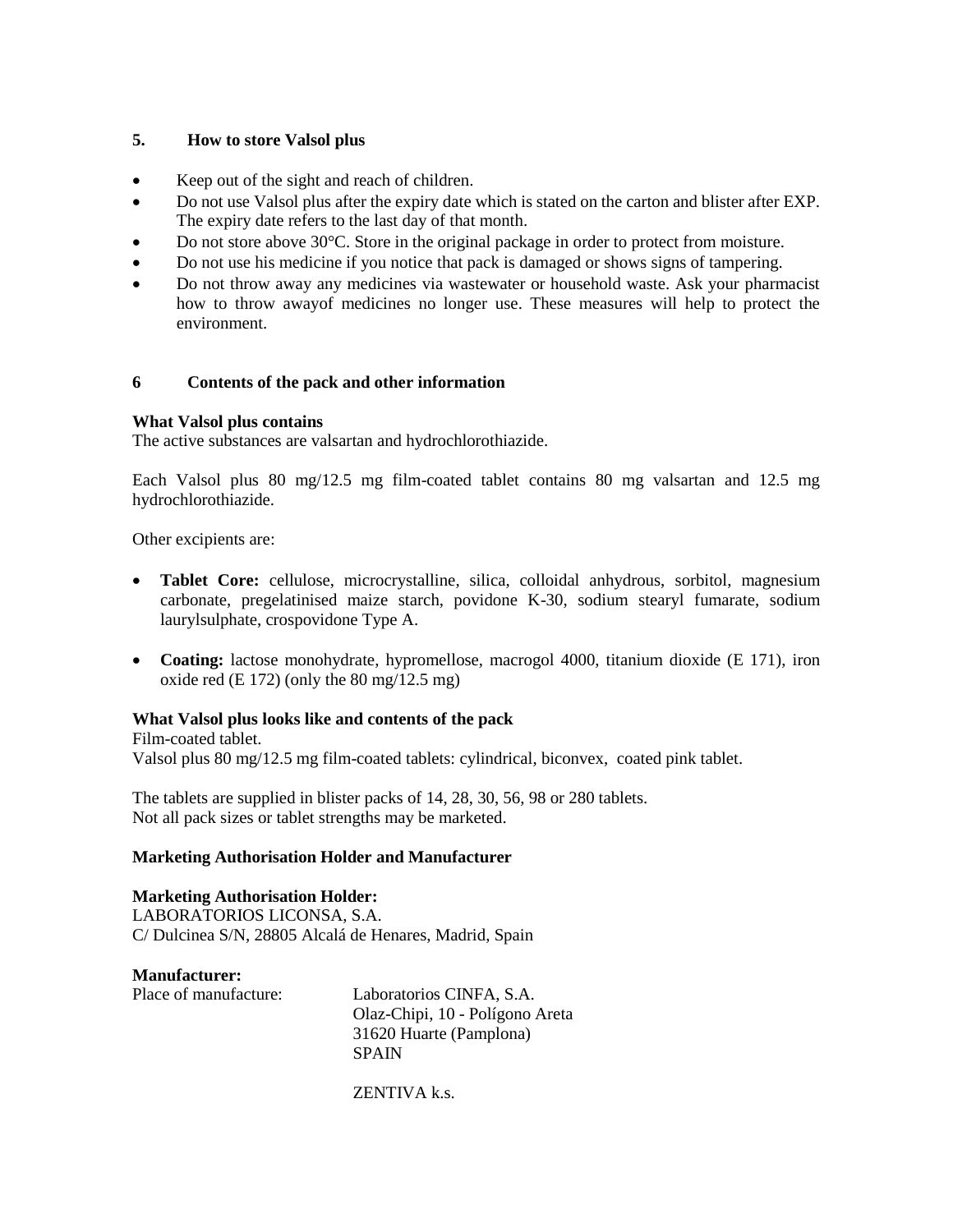## **5. How to store Valsol plus**

- Keep out of the sight and reach of children.
- Do not use Valsol plus after the expiry date which is stated on the carton and blister after EXP. The expiry date refers to the last day of that month.
- Do not store above 30°C. Store in the original package in order to protect from moisture.
- Do not use his medicine if you notice that pack is damaged or shows signs of tampering.
- Do not throw away any medicines via wastewater or household waste. Ask your pharmacist how to throw awayof medicines no longer use. These measures will help to protect the environment.

### **6 Contents of the pack and other information**

### **What Valsol plus contains**

The active substances are valsartan and hydrochlorothiazide.

Each Valsol plus 80 mg/12.5 mg film-coated tablet contains 80 mg valsartan and 12.5 mg hydrochlorothiazide.

Other excipients are:

- **Tablet Core:** cellulose, microcrystalline, silica, colloidal anhydrous, sorbitol, magnesium carbonate, pregelatinised maize starch, povidone K-30, sodium stearyl fumarate, sodium laurylsulphate, crospovidone Type A.
- Coating: lactose monohydrate, hypromellose, macrogol 4000, titanium dioxide (E 171), iron oxide red  $(E 172)$  (only the 80 mg/12.5 mg)

# **What Valsol plus looks like and contents of the pack**

Film-coated tablet. Valsol plus 80 mg/12.5 mg film-coated tablets: cylindrical, biconvex, coated pink tablet.

The tablets are supplied in blister packs of 14, 28, 30, 56, 98 or 280 tablets. Not all pack sizes or tablet strengths may be marketed.

### **Marketing Authorisation Holder and Manufacturer**

### **Marketing Authorisation Holder:**

LABORATORIOS LICONSA, S.A. C/ Dulcinea S/N, 28805 Alcalá de Henares, Madrid, Spain

**Manufacturer:** Place of manufacture: Laboratorios CINFA, S.A. Olaz-Chipi, 10 - Polígono Areta 31620 Huarte (Pamplona) SPAIN

ZENTIVA k.s.